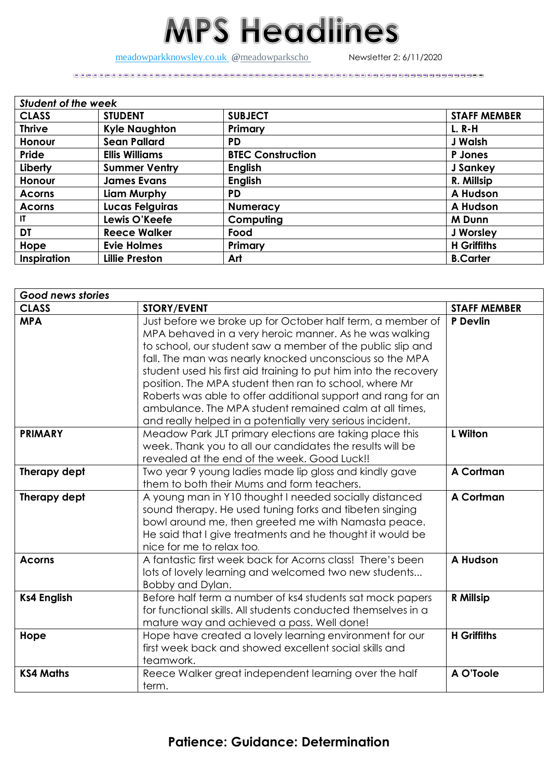## **MPS Headlines**

[meadowparkknowsley.co.uk](https://t.co/znDDto23ds) @[meadowparkscho](https://twitter.com/meadowparkscho) Newsletter 2: 6/11/2020

| <b>Student of the week</b> |                       |                          |                     |  |
|----------------------------|-----------------------|--------------------------|---------------------|--|
| <b>CLASS</b>               | <b>STUDENT</b>        | <b>SUBJECT</b>           | <b>STAFF MEMBER</b> |  |
| <b>Thrive</b>              | <b>Kyle Naughton</b>  | Primary                  | <b>L. R-H</b>       |  |
| Honour                     | <b>Sean Pallard</b>   | <b>PD</b>                | <b>J Walsh</b>      |  |
| Pride                      | <b>Ellis Williams</b> | <b>BTEC Construction</b> | P Jones             |  |
| Liberty                    | <b>Summer Ventry</b>  | <b>English</b>           | J Sankey            |  |
| <b>Honour</b>              | <b>James Evans</b>    | <b>English</b>           | R. Millsip          |  |
| <b>Acorns</b>              | Liam Murphy           | <b>PD</b>                | A Hudson            |  |
| <b>Acorns</b>              | Lucas Felguiras       | <b>Numeracy</b>          | A Hudson            |  |
| IT.                        | Lewis O'Keefe         | Computing                | <b>M</b> Dunn       |  |
| DT                         | <b>Reece Walker</b>   | Food                     | J Worsley           |  |
| Hope                       | <b>Evie Holmes</b>    | Primary                  | <b>H</b> Griffiths  |  |
| Inspiration                | <b>Lillie Preston</b> | Art                      | <b>B.Carter</b>     |  |

| Good news stories  |                                                                                                                                                                                                                                                                                                                                                                                                                                                                                                                                                                    |                     |  |
|--------------------|--------------------------------------------------------------------------------------------------------------------------------------------------------------------------------------------------------------------------------------------------------------------------------------------------------------------------------------------------------------------------------------------------------------------------------------------------------------------------------------------------------------------------------------------------------------------|---------------------|--|
| <b>CLASS</b>       | <b>STORY/EVENT</b>                                                                                                                                                                                                                                                                                                                                                                                                                                                                                                                                                 | <b>STAFF MEMBER</b> |  |
| <b>MPA</b>         | Just before we broke up for October half term, a member of<br>MPA behaved in a very heroic manner. As he was walking<br>to school, our student saw a member of the public slip and<br>fall. The man was nearly knocked unconscious so the MPA<br>student used his first aid training to put him into the recovery<br>position. The MPA student then ran to school, where Mr<br>Roberts was able to offer additional support and rang for an<br>ambulance. The MPA student remained calm at all times,<br>and really helped in a potentially very serious incident. | P Devlin            |  |
| <b>PRIMARY</b>     | <b>L</b> Wilton<br>Meadow Park JLT primary elections are taking place this<br>week. Thank you to all our candidates the results will be<br>revealed at the end of the week. Good Luck!!                                                                                                                                                                                                                                                                                                                                                                            |                     |  |
| Therapy dept       | A Cortman<br>Two year 9 young ladies made lip gloss and kindly gave<br>them to both their Mums and form teachers.                                                                                                                                                                                                                                                                                                                                                                                                                                                  |                     |  |
| Therapy dept       | A young man in Y10 thought I needed socially distanced<br>sound therapy. He used tuning forks and tibeten singing<br>bowl around me, then greeted me with Namasta peace.<br>He said that I give treatments and he thought it would be<br>nice for me to relax too.                                                                                                                                                                                                                                                                                                 | A Cortman           |  |
| <b>Acorns</b>      | A fantastic first week back for Acorns class! There's been<br>A Hudson<br>lots of lovely learning and welcomed two new students<br>Bobby and Dylan.                                                                                                                                                                                                                                                                                                                                                                                                                |                     |  |
| <b>Ks4 English</b> | Before half term a number of ks4 students sat mock papers<br>R Millsip<br>for functional skills. All students conducted themselves in a<br>mature way and achieved a pass. Well done!                                                                                                                                                                                                                                                                                                                                                                              |                     |  |
| Hope               | <b>H</b> Griffiths<br>Hope have created a lovely learning environment for our<br>first week back and showed excellent social skills and<br>teamwork.                                                                                                                                                                                                                                                                                                                                                                                                               |                     |  |
| <b>KS4 Maths</b>   | Reece Walker great independent learning over the half<br>term.                                                                                                                                                                                                                                                                                                                                                                                                                                                                                                     | A O'Toole           |  |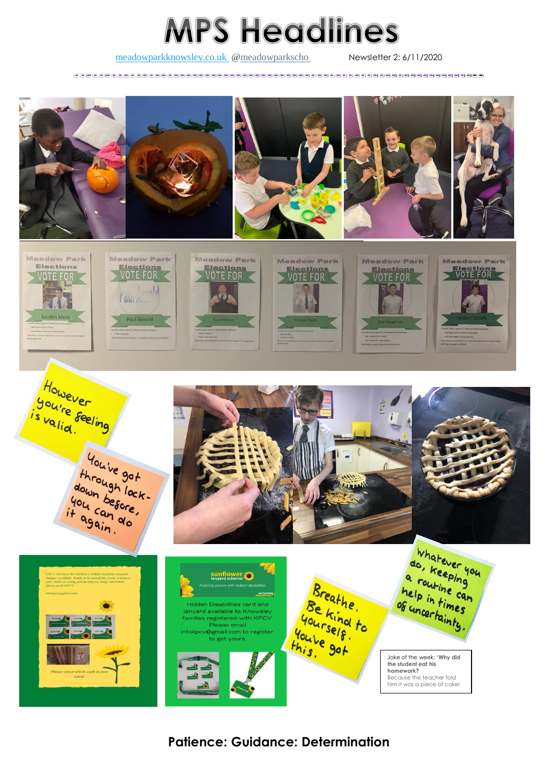## **MPS Headlines**

## [meadowparkknowsley.co.uk](https://t.co/znDDto23ds) @[meadowparkscho](https://twitter.com/meadowparkscho) Newsletter 2: 6/11/2020



**Patience: Guidance: Determination**